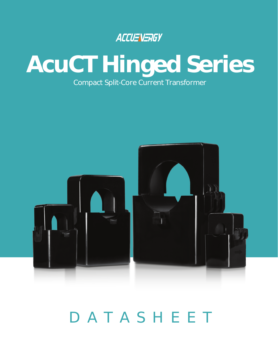### ACCUENERGY

## **AcuCT Hinged Series** Compact Split-Core Current Transformer



# DATASHEET